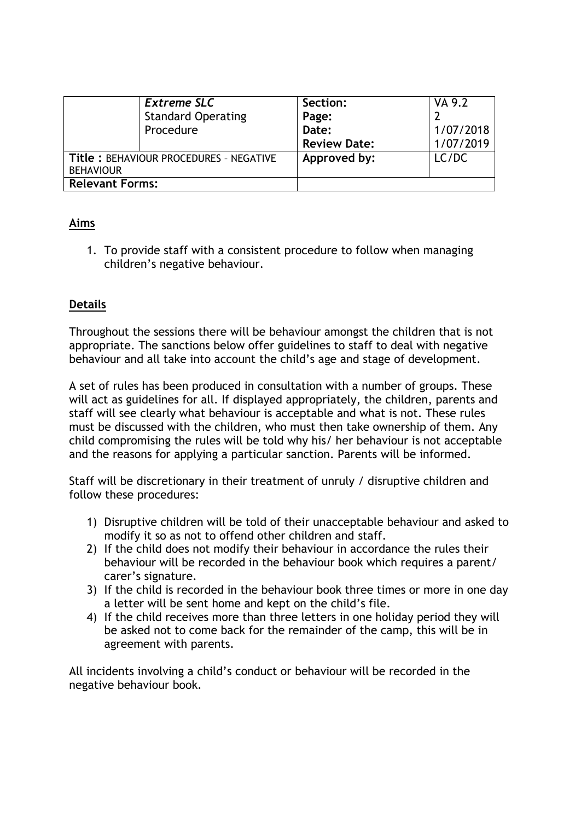|                                                            | <b>Extreme SLC</b><br><b>Standard Operating</b><br>Procedure | Section:<br>Page:<br>Date: | VA 9.2<br>1/07/2018 |
|------------------------------------------------------------|--------------------------------------------------------------|----------------------------|---------------------|
|                                                            |                                                              | <b>Review Date:</b>        | 1/07/2019           |
| Title: BEHAVIOUR PROCEDURES - NEGATIVE<br><b>BEHAVIOUR</b> |                                                              | Approved by:               | LC/DC               |
| <b>Relevant Forms:</b>                                     |                                                              |                            |                     |

# **Aims**

1. To provide staff with a consistent procedure to follow when managing children's negative behaviour.

# **Details**

Throughout the sessions there will be behaviour amongst the children that is not appropriate. The sanctions below offer guidelines to staff to deal with negative behaviour and all take into account the child's age and stage of development.

A set of rules has been produced in consultation with a number of groups. These will act as guidelines for all. If displayed appropriately, the children, parents and staff will see clearly what behaviour is acceptable and what is not. These rules must be discussed with the children, who must then take ownership of them. Any child compromising the rules will be told why his/ her behaviour is not acceptable and the reasons for applying a particular sanction. Parents will be informed.

Staff will be discretionary in their treatment of unruly / disruptive children and follow these procedures:

- 1) Disruptive children will be told of their unacceptable behaviour and asked to modify it so as not to offend other children and staff.
- 2) If the child does not modify their behaviour in accordance the rules their behaviour will be recorded in the behaviour book which requires a parent/ carer's signature.
- 3) If the child is recorded in the behaviour book three times or more in one day a letter will be sent home and kept on the child's file.
- 4) If the child receives more than three letters in one holiday period they will be asked not to come back for the remainder of the camp, this will be in agreement with parents.

All incidents involving a child's conduct or behaviour will be recorded in the negative behaviour book.